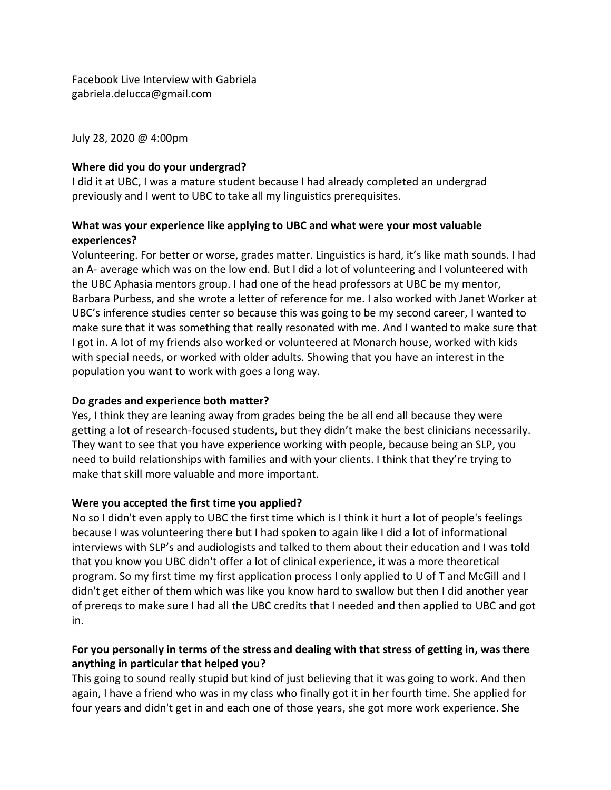Facebook Live Interview with Gabriela gabriela.delucca@gmail.com

July 28, 2020 @ 4:00pm

## **Where did you do your undergrad?**

I did it at UBC, I was a mature student because I had already completed an undergrad previously and I went to UBC to take all my linguistics prerequisites.

### **What was your experience like applying to UBC and what were your most valuable experiences?**

Volunteering. For better or worse, grades matter. Linguistics is hard, it's like math sounds. I had an A- average which was on the low end. But I did a lot of volunteering and I volunteered with the UBC Aphasia mentors group. I had one of the head professors at UBC be my mentor, Barbara Purbess, and she wrote a letter of reference for me. I also worked with Janet Worker at UBC's inference studies center so because this was going to be my second career, I wanted to make sure that it was something that really resonated with me. And I wanted to make sure that I got in. A lot of my friends also worked or volunteered at Monarch house, worked with kids with special needs, or worked with older adults. Showing that you have an interest in the population you want to work with goes a long way.

## **Do grades and experience both matter?**

Yes, I think they are leaning away from grades being the be all end all because they were getting a lot of research-focused students, but they didn't make the best clinicians necessarily. They want to see that you have experience working with people, because being an SLP, you need to build relationships with families and with your clients. I think that they're trying to make that skill more valuable and more important.

## **Were you accepted the first time you applied?**

No so I didn't even apply to UBC the first time which is I think it hurt a lot of people's feelings because I was volunteering there but I had spoken to again like I did a lot of informational interviews with SLP's and audiologists and talked to them about their education and I was told that you know you UBC didn't offer a lot of clinical experience, it was a more theoretical program. So my first time my first application process I only applied to U of T and McGill and I didn't get either of them which was like you know hard to swallow but then I did another year of prereqs to make sure I had all the UBC credits that I needed and then applied to UBC and got in.

# **For you personally in terms of the stress and dealing with that stress of getting in, was there anything in particular that helped you?**

This going to sound really stupid but kind of just believing that it was going to work. And then again, I have a friend who was in my class who finally got it in her fourth time. She applied for four years and didn't get in and each one of those years, she got more work experience. She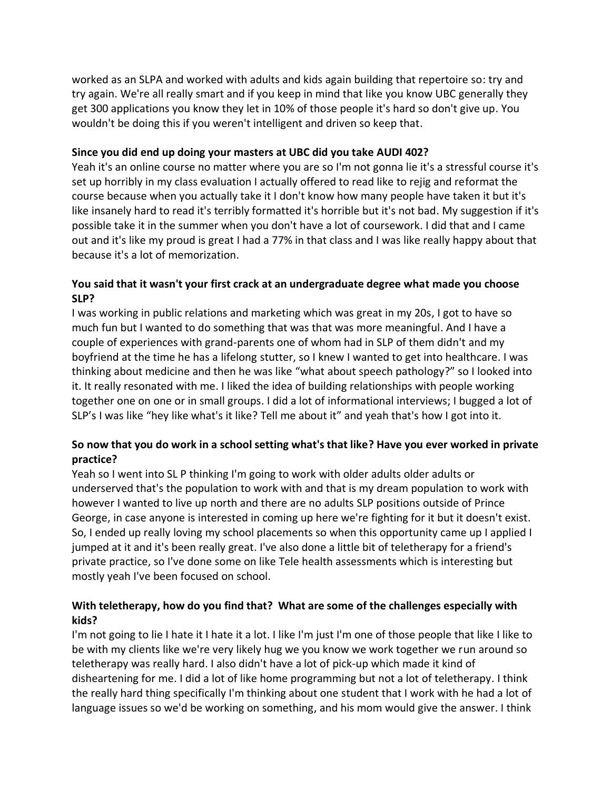worked as an SLPA and worked with adults and kids again building that repertoire so: try and try again. We're all really smart and if you keep in mind that like you know UBC generally they get 300 applications you know they let in 10% of those people it's hard so don't give up. You wouldn't be doing this if you weren't intelligent and driven so keep that.

#### **Since you did end up doing your masters at UBC did you take AUDI 402?**

Yeah it's an online course no matter where you are so I'm not gonna lie it's a stressful course it's set up horribly in my class evaluation I actually offered to read like to rejig and reformat the course because when you actually take it I don't know how many people have taken it but it's like insanely hard to read it's terribly formatted it's horrible but it's not bad. My suggestion if it's possible take it in the summer when you don't have a lot of coursework. I did that and I came out and it's like my proud is great I had a 77% in that class and I was like really happy about that because it's a lot of memorization.

### **You said that it wasn't your first crack at an undergraduate degree what made you choose SLP?**

I was working in public relations and marketing which was great in my 20s, I got to have so much fun but I wanted to do something that was that was more meaningful. And I have a couple of experiences with grand-parents one of whom had in SLP of them didn't and my boyfriend at the time he has a lifelong stutter, so I knew I wanted to get into healthcare. I was thinking about medicine and then he was like "what about speech pathology?" so I looked into it. It really resonated with me. I liked the idea of building relationships with people working together one on one or in small groups. I did a lot of informational interviews; I bugged a lot of SLP's I was like "hey like what's it like? Tell me about it" and yeah that's how I got into it.

# **So now that you do work in a school setting what's that like? Have you ever worked in private practice?**

Yeah so I went into SL P thinking I'm going to work with older adults older adults or underserved that's the population to work with and that is my dream population to work with however I wanted to live up north and there are no adults SLP positions outside of Prince George, in case anyone is interested in coming up here we're fighting for it but it doesn't exist. So, I ended up really loving my school placements so when this opportunity came up I applied I jumped at it and it's been really great. I've also done a little bit of teletherapy for a friend's private practice, so I've done some on like Tele health assessments which is interesting but mostly yeah I've been focused on school.

## **With teletherapy, how do you find that? What are some of the challenges especially with kids?**

I'm not going to lie I hate it I hate it a lot. I like I'm just I'm one of those people that like I like to be with my clients like we're very likely hug we you know we work together we run around so teletherapy was really hard. I also didn't have a lot of pick-up which made it kind of disheartening for me. I did a lot of like home programming but not a lot of teletherapy. I think the really hard thing specifically I'm thinking about one student that I work with he had a lot of language issues so we'd be working on something, and his mom would give the answer. I think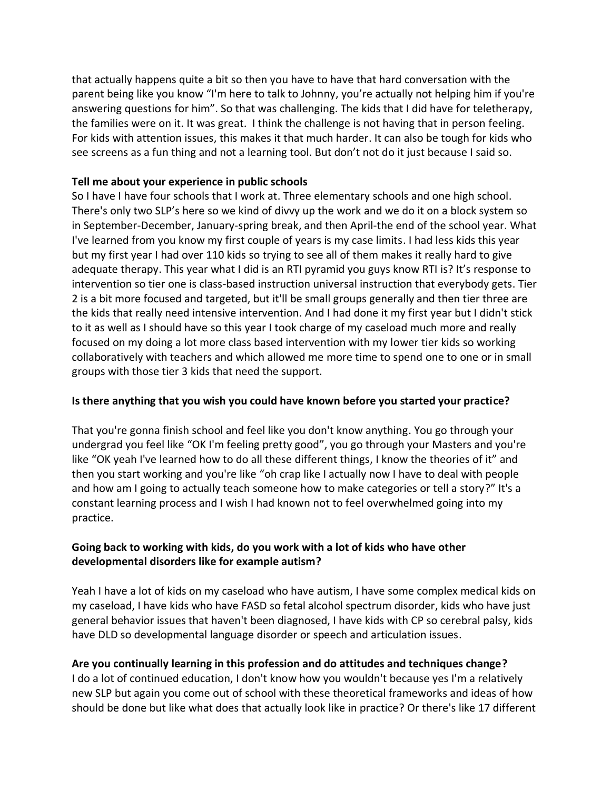that actually happens quite a bit so then you have to have that hard conversation with the parent being like you know "I'm here to talk to Johnny, you're actually not helping him if you're answering questions for him". So that was challenging. The kids that I did have for teletherapy, the families were on it. It was great. I think the challenge is not having that in person feeling. For kids with attention issues, this makes it that much harder. It can also be tough for kids who see screens as a fun thing and not a learning tool. But don't not do it just because I said so.

#### **Tell me about your experience in public schools**

So I have I have four schools that I work at. Three elementary schools and one high school. There's only two SLP's here so we kind of divvy up the work and we do it on a block system so in September-December, January-spring break, and then April-the end of the school year. What I've learned from you know my first couple of years is my case limits. I had less kids this year but my first year I had over 110 kids so trying to see all of them makes it really hard to give adequate therapy. This year what I did is an RTI pyramid you guys know RTI is? It's response to intervention so tier one is class-based instruction universal instruction that everybody gets. Tier 2 is a bit more focused and targeted, but it'll be small groups generally and then tier three are the kids that really need intensive intervention. And I had done it my first year but I didn't stick to it as well as I should have so this year I took charge of my caseload much more and really focused on my doing a lot more class based intervention with my lower tier kids so working collaboratively with teachers and which allowed me more time to spend one to one or in small groups with those tier 3 kids that need the support.

### **Is there anything that you wish you could have known before you started your practice?**

That you're gonna finish school and feel like you don't know anything. You go through your undergrad you feel like "OK I'm feeling pretty good", you go through your Masters and you're like "OK yeah I've learned how to do all these different things, I know the theories of it" and then you start working and you're like "oh crap like I actually now I have to deal with people and how am I going to actually teach someone how to make categories or tell a story?" It's a constant learning process and I wish I had known not to feel overwhelmed going into my practice.

### **Going back to working with kids, do you work with a lot of kids who have other developmental disorders like for example autism?**

Yeah I have a lot of kids on my caseload who have autism, I have some complex medical kids on my caseload, I have kids who have FASD so fetal alcohol spectrum disorder, kids who have just general behavior issues that haven't been diagnosed, I have kids with CP so cerebral palsy, kids have DLD so developmental language disorder or speech and articulation issues.

## **Are you continually learning in this profession and do attitudes and techniques change?**

I do a lot of continued education, I don't know how you wouldn't because yes I'm a relatively new SLP but again you come out of school with these theoretical frameworks and ideas of how should be done but like what does that actually look like in practice? Or there's like 17 different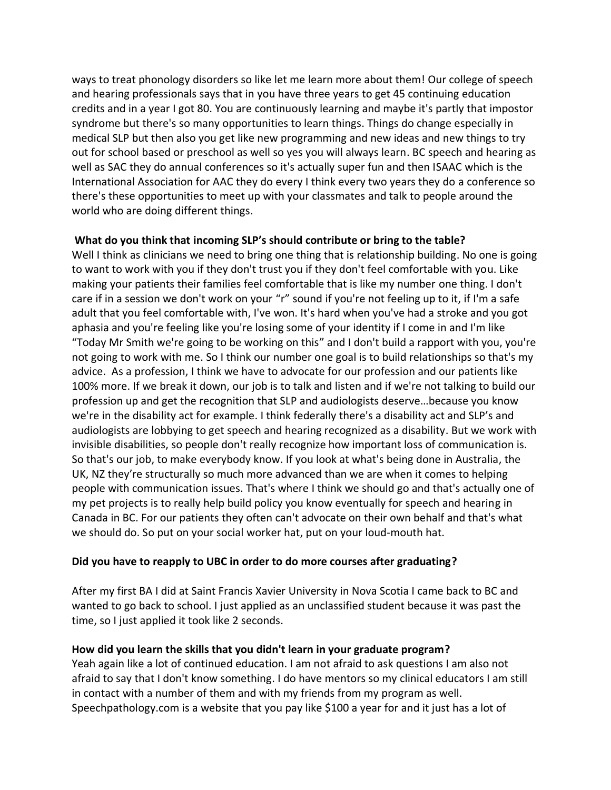ways to treat phonology disorders so like let me learn more about them! Our college of speech and hearing professionals says that in you have three years to get 45 continuing education credits and in a year I got 80. You are continuously learning and maybe it's partly that impostor syndrome but there's so many opportunities to learn things. Things do change especially in medical SLP but then also you get like new programming and new ideas and new things to try out for school based or preschool as well so yes you will always learn. BC speech and hearing as well as SAC they do annual conferences so it's actually super fun and then ISAAC which is the International Association for AAC they do every I think every two years they do a conference so there's these opportunities to meet up with your classmates and talk to people around the world who are doing different things.

### **What do you think that incoming SLP's should contribute or bring to the table?**

Well I think as clinicians we need to bring one thing that is relationship building. No one is going to want to work with you if they don't trust you if they don't feel comfortable with you. Like making your patients their families feel comfortable that is like my number one thing. I don't care if in a session we don't work on your "r" sound if you're not feeling up to it, if I'm a safe adult that you feel comfortable with, I've won. It's hard when you've had a stroke and you got aphasia and you're feeling like you're losing some of your identity if I come in and I'm like "Today Mr Smith we're going to be working on this" and I don't build a rapport with you, you're not going to work with me. So I think our number one goal is to build relationships so that's my advice. As a profession, I think we have to advocate for our profession and our patients like 100% more. If we break it down, our job is to talk and listen and if we're not talking to build our profession up and get the recognition that SLP and audiologists deserve…because you know we're in the disability act for example. I think federally there's a disability act and SLP's and audiologists are lobbying to get speech and hearing recognized as a disability. But we work with invisible disabilities, so people don't really recognize how important loss of communication is. So that's our job, to make everybody know. If you look at what's being done in Australia, the UK, NZ they're structurally so much more advanced than we are when it comes to helping people with communication issues. That's where I think we should go and that's actually one of my pet projects is to really help build policy you know eventually for speech and hearing in Canada in BC. For our patients they often can't advocate on their own behalf and that's what we should do. So put on your social worker hat, put on your loud-mouth hat.

## **Did you have to reapply to UBC in order to do more courses after graduating?**

After my first BA I did at Saint Francis Xavier University in Nova Scotia I came back to BC and wanted to go back to school. I just applied as an unclassified student because it was past the time, so I just applied it took like 2 seconds.

## **How did you learn the skills that you didn't learn in your graduate program?**

Yeah again like a lot of continued education. I am not afraid to ask questions I am also not afraid to say that I don't know something. I do have mentors so my clinical educators I am still in contact with a number of them and with my friends from my program as well. Speechpathology.com is a website that you pay like \$100 a year for and it just has a lot of